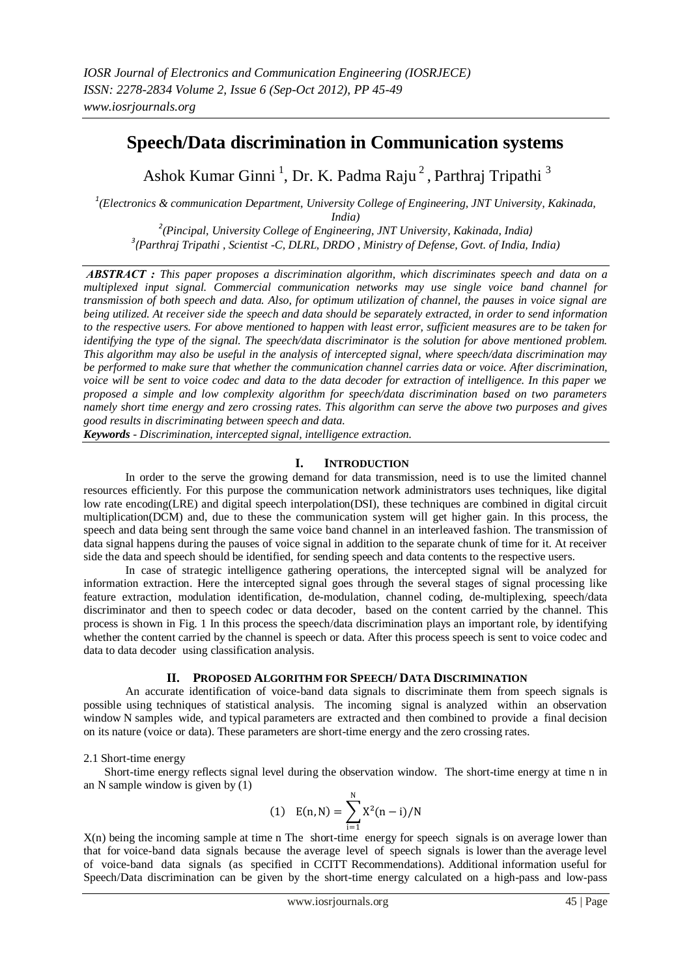# **Speech/Data discrimination in Communication systems**

Ashok Kumar Ginni<sup>1</sup>, Dr. K. Padma Raju<sup>2</sup>, Parthraj Tripathi<sup>3</sup>

*1 (Electronics & communication Department, University College of Engineering, JNT University, Kakinada, India)* 

*2 (Pincipal, University College of Engineering, JNT University, Kakinada, India) 3 (Parthraj Tripathi , Scientist -C, DLRL, DRDO , Ministry of Defense, Govt. of India, India)*

*ABSTRACT : This paper proposes a discrimination algorithm, which discriminates speech and data on a multiplexed input signal. Commercial communication networks may use single voice band channel for transmission of both speech and data. Also, for optimum utilization of channel, the pauses in voice signal are being utilized. At receiver side the speech and data should be separately extracted, in order to send information to the respective users. For above mentioned to happen with least error, sufficient measures are to be taken for identifying the type of the signal. The speech/data discriminator is the solution for above mentioned problem. This algorithm may also be useful in the analysis of intercepted signal, where speech/data discrimination may be performed to make sure that whether the communication channel carries data or voice. After discrimination, voice will be sent to voice codec and data to the data decoder for extraction of intelligence. In this paper we proposed a simple and low complexity algorithm for speech/data discrimination based on two parameters namely short time energy and zero crossing rates. This algorithm can serve the above two purposes and gives good results in discriminating between speech and data.*

*Keywords - Discrimination, intercepted signal, intelligence extraction.*

## **I. INTRODUCTION**

In order to the serve the growing demand for data transmission, need is to use the limited channel resources efficiently. For this purpose the communication network administrators uses techniques, like digital low rate encoding(LRE) and digital speech interpolation(DSI), these techniques are combined in digital circuit multiplication(DCM) and, due to these the communication system will get higher gain. In this process, the speech and data being sent through the same voice band channel in an interleaved fashion. The transmission of data signal happens during the pauses of voice signal in addition to the separate chunk of time for it. At receiver side the data and speech should be identified, for sending speech and data contents to the respective users.

In case of strategic intelligence gathering operations, the intercepted signal will be analyzed for information extraction. Here the intercepted signal goes through the several stages of signal processing like feature extraction, modulation identification, de-modulation, channel coding, de-multiplexing, speech/data discriminator and then to speech codec or data decoder, based on the content carried by the channel. This process is shown in Fig. 1 In this process the speech/data discrimination plays an important role, by identifying whether the content carried by the channel is speech or data. After this process speech is sent to voice codec and data to data decoder using classification analysis.

## **II. PROPOSED ALGORITHM FOR SPEECH/ DATA DISCRIMINATION**

An accurate identification of voice-band data signals to discriminate them from speech signals is possible using techniques of statistical analysis. The incoming signal is analyzed within an observation window N samples wide, and typical parameters are extracted and then combined to provide a final decision on its nature (voice or data). These parameters are short-time energy and the zero crossing rates.

## 2.1 Short-time energy

Short-time energy reflects signal level during the observation window. The short-time energy at time n in an N sample window is given by (1)

(1) 
$$
E(n, N) = \sum_{i=1}^{N} X^2(n-i)/N
$$

 $X(n)$  being the incoming sample at time n The short-time energy for speech signals is on average lower than that for voice-band data signals because the average level of speech signals is lower than the average level of voice-band data signals (as specified in CCITT Recommendations). Additional information useful for Speech/Data discrimination can be given by the short-time energy calculated on a high-pass and low-pass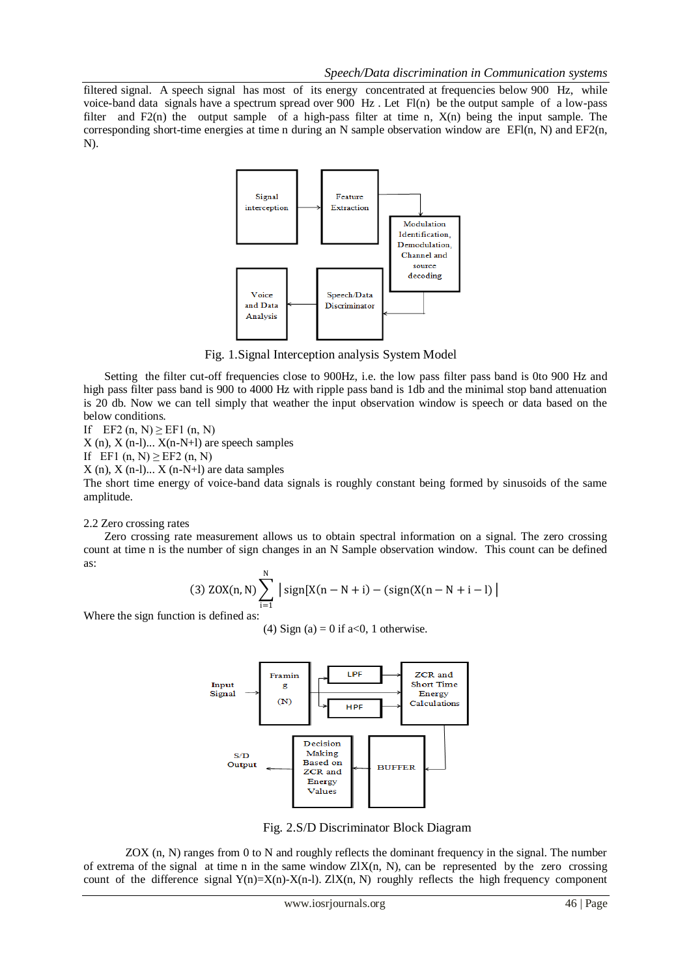filtered signal. A speech signal has most of its energy concentrated at frequencies below 900 Hz, while voice-band data signals have a spectrum spread over 900 Hz . Let Fl(n) be the output sample of a low-pass filter and  $F(2(n))$  the output sample of a high-pass filter at time n,  $X(n)$  being the input sample. The corresponding short-time energies at time n during an N sample observation window are  $EFI(n, N)$  and  $EF2(n, N)$ N).



Fig. 1.Signal Interception analysis System Model

Setting the filter cut-off frequencies close to 900Hz, i.e. the low pass filter pass band is 0to 900 Hz and high pass filter pass band is 900 to 4000 Hz with ripple pass band is 1db and the minimal stop band attenuation is 20 db. Now we can tell simply that weather the input observation window is speech or data based on the below conditions.

If EF2  $(n, N) \geq E$ F1  $(n, N)$ 

 $X(n)$ ,  $X(n-1)$ ...  $X(n-N+1)$  are speech samples

If EF1  $(n, N) \ge EF2 (n, N)$ 

 $X(n)$ ,  $X(n-1)$ ...  $X(n-N+1)$  are data samples

The short time energy of voice-band data signals is roughly constant being formed by sinusoids of the same amplitude.

#### 2.2 Zero crossing rates

Zero crossing rate measurement allows us to obtain spectral information on a signal. The zero crossing count at time n is the number of sign changes in an N Sample observation window. This count can be defined as:

(3) 
$$
ZOX(n, N) \sum_{i=1}^{N} |sign[X(n - N + i) - (sign(X(n - N + i - 1))|
$$

Where the sign function is defined as:

(4) Sign (a) = 0 if a<0, 1 otherwise.



Fig. 2.S/D Discriminator Block Diagram

ZOX (n, N) ranges from 0 to N and roughly reflects the dominant frequency in the signal. The number of extrema of the signal at time n in the same window  $ZIX(n, N)$ , can be represented by the zero crossing count of the difference signal  $Y(n)=X(n)-X(n-1)$ . ZIX(n, N) roughly reflects the high frequency component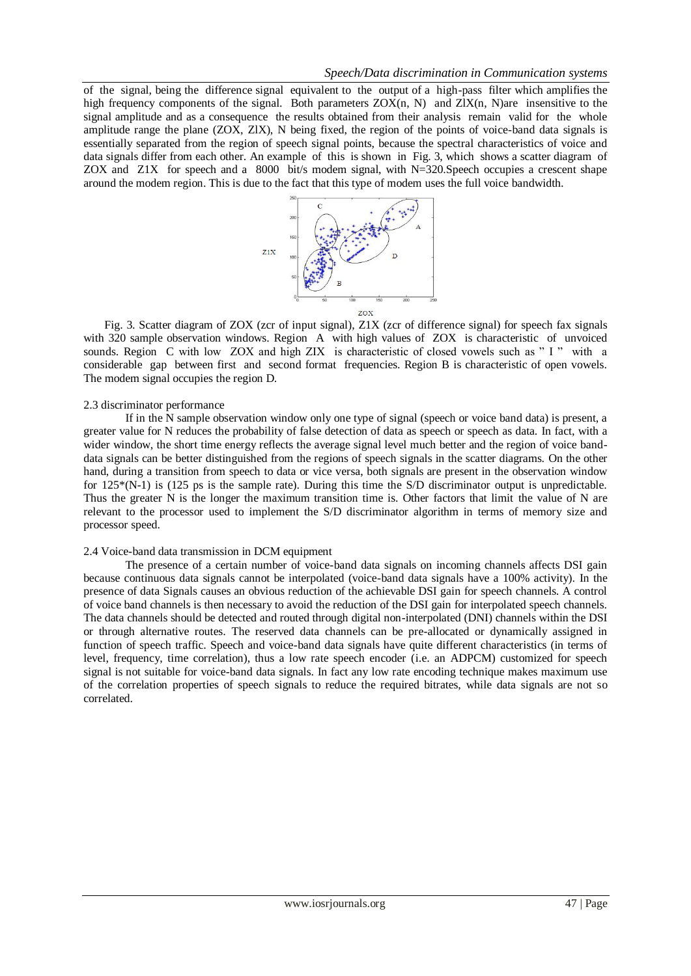of the signal, being the difference signal equivalent to the output of a high-pass filter which amplifies the high frequency components of the signal. Both parameters  $ZOX(n, N)$  and  $ZIX(n, N)$ are insensitive to the signal amplitude and as a consequence the results obtained from their analysis remain valid for the whole amplitude range the plane (ZOX, ZlX), N being fixed, the region of the points of voice-band data signals is essentially separated from the region of speech signal points, because the spectral characteristics of voice and data signals differ from each other. An example of this is shown in Fig. 3, which shows a scatter diagram of ZOX and Z1X for speech and a 8000 bit/s modem signal, with N=320.Speech occupies a crescent shape around the modem region. This is due to the fact that this type of modem uses the full voice bandwidth.



Fig. 3. Scatter diagram of ZOX (zcr of input signal), Z1X (zcr of difference signal) for speech fax signals with 320 sample observation windows. Region A with high values of ZOX is characteristic of unvoiced sounds. Region C with low ZOX and high ZIX is characteristic of closed vowels such as " I " with a considerable gap between first and second format frequencies. Region B is characteristic of open vowels. The modem signal occupies the region D.

## 2.3 discriminator performance

If in the N sample observation window only one type of signal (speech or voice band data) is present, a greater value for N reduces the probability of false detection of data as speech or speech as data. In fact, with a wider window, the short time energy reflects the average signal level much better and the region of voice banddata signals can be better distinguished from the regions of speech signals in the scatter diagrams. On the other hand, during a transition from speech to data or vice versa, both signals are present in the observation window for 125\*(N-1) is (125 ps is the sample rate). During this time the S/D discriminator output is unpredictable. Thus the greater N is the longer the maximum transition time is. Other factors that limit the value of N are relevant to the processor used to implement the S/D discriminator algorithm in terms of memory size and processor speed.

#### 2.4 Voice-band data transmission in DCM equipment

The presence of a certain number of voice-band data signals on incoming channels affects DSI gain because continuous data signals cannot be interpolated (voice-band data signals have a 100% activity). In the presence of data Signals causes an obvious reduction of the achievable DSI gain for speech channels. A control of voice band channels is then necessary to avoid the reduction of the DSI gain for interpolated speech channels. The data channels should be detected and routed through digital non-interpolated (DNI) channels within the DSI or through alternative routes. The reserved data channels can be pre-allocated or dynamically assigned in function of speech traffic. Speech and voice-band data signals have quite different characteristics (in terms of level, frequency, time correlation), thus a low rate speech encoder (i.e. an ADPCM) customized for speech signal is not suitable for voice-band data signals. In fact any low rate encoding technique makes maximum use of the correlation properties of speech signals to reduce the required bitrates, while data signals are not so correlated.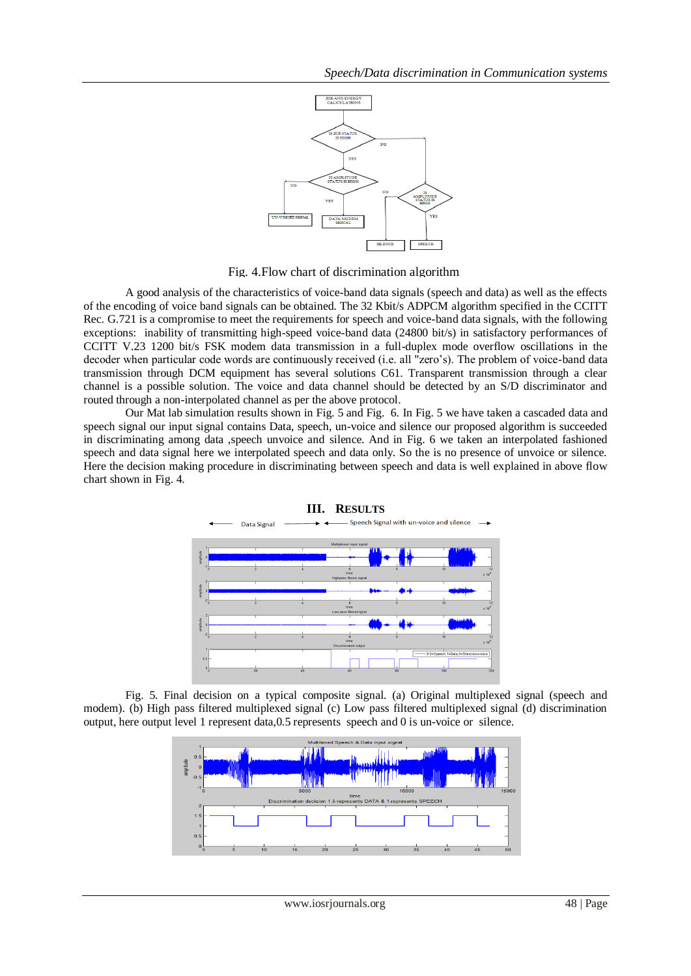

Fig. 4.Flow chart of discrimination algorithm

A good analysis of the characteristics of voice-band data signals (speech and data) as well as the effects of the encoding of voice band signals can be obtained. The 32 Kbit/s ADPCM algorithm specified in the CCITT Rec. G.721 is a compromise to meet the requirements for speech and voice-band data signals, with the following exceptions: inability of transmitting high-speed voice-band data (24800 bit/s) in satisfactory performances of CCITT V.23 1200 bit/s FSK modem data transmission in a full-duplex mode overflow oscillations in the decoder when particular code words are continuously received (i.e. all "zero's). The problem of voice-band data transmission through DCM equipment has several solutions C61. Transparent transmission through a clear channel is a possible solution. The voice and data channel should be detected by an S/D discriminator and routed through a non-interpolated channel as per the above protocol.

Our Mat lab simulation results shown in Fig. 5 and Fig. 6. In Fig. 5 we have taken a cascaded data and speech signal our input signal contains Data, speech, un-voice and silence our proposed algorithm is succeeded in discriminating among data ,speech unvoice and silence. And in Fig. 6 we taken an interpolated fashioned speech and data signal here we interpolated speech and data only. So the is no presence of unvoice or silence. Here the decision making procedure in discriminating between speech and data is well explained in above flow chart shown in Fig. 4.





Fig. 5. Final decision on a typical composite signal. (a) Original multiplexed signal (speech and modem). (b) High pass filtered multiplexed signal (c) Low pass filtered multiplexed signal (d) discrimination output, here output level 1 represent data,0.5 represents speech and 0 is un-voice or silence.